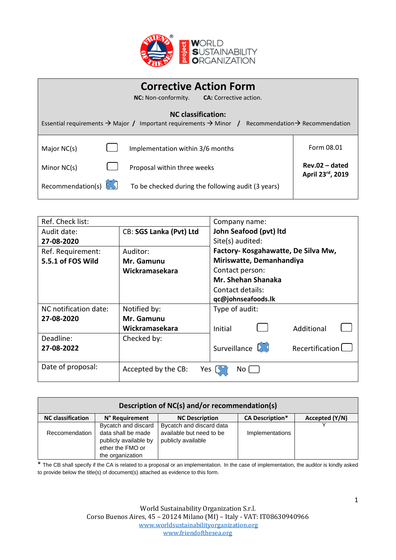

| <b>Corrective Action Form</b><br><b>NC:</b> Non-conformity.<br><b>CA:</b> Corrective action.                                                                          |                                                    |                                      |  |
|-----------------------------------------------------------------------------------------------------------------------------------------------------------------------|----------------------------------------------------|--------------------------------------|--|
| <b>NC</b> classification:<br>Essential requirements $\rightarrow$ Major / Important requirements $\rightarrow$ Minor /<br>Recommendation $\rightarrow$ Recommendation |                                                    |                                      |  |
| Major NC(s)                                                                                                                                                           | Implementation within 3/6 months                   | Form 08.01                           |  |
| Minor NC(s)                                                                                                                                                           | Proposal within three weeks                        | $Rev.02 - dated$<br>April 23rd, 2019 |  |
| Recommendation(s)                                                                                                                                                     | To be checked during the following audit (3 years) |                                      |  |

| Ref. Check list:      |                            | Company name:                              |  |
|-----------------------|----------------------------|--------------------------------------------|--|
| Audit date:           | CB: SGS Lanka (Pvt) Ltd    | John Seafood (pvt) Itd                     |  |
| 27-08-2020            |                            | Site(s) audited:                           |  |
| Ref. Requirement:     | Auditor:                   | Factory- Kosgahawatte, De Silva Mw,        |  |
| 5.5.1 of FOS Wild     | Mr. Gamunu                 | Miriswatte, Demanhandiya                   |  |
|                       | Wickramasekara             | Contact person:                            |  |
|                       |                            | <b>Mr. Shehan Shanaka</b>                  |  |
|                       |                            | Contact details:                           |  |
|                       |                            | qc@johnseafoods.lk                         |  |
| NC notification date: | Notified by:               | Type of audit:                             |  |
| 27-08-2020            | Mr. Gamunu                 |                                            |  |
|                       | Wickramasekara             | Additional<br>Initial                      |  |
| Deadline:             | Checked by:                |                                            |  |
| 27-08-2022            |                            | Surveillance $\sqrt{3}$<br>Recertification |  |
| Date of proposal:     | Accepted by the CB:<br>Yes | No.                                        |  |

| Description of NC(s) and/or recommendation(s) |                                                                                                            |                                                                            |                        |                |
|-----------------------------------------------|------------------------------------------------------------------------------------------------------------|----------------------------------------------------------------------------|------------------------|----------------|
| <b>NC</b> classification                      | N° Requirement                                                                                             | <b>NC Description</b>                                                      | <b>CA Description*</b> | Accepted (Y/N) |
| Reccomendation                                | Bycatch and discard<br>data shall be made<br>publicly available by<br>ether the FMO or<br>the organization | Bycatch and discard data<br>available but need to be<br>publicly available | Implementations        |                |

\* The CB shall specify if the CA is related to a proposal or an implementation. In the case of implementation, the auditor is kindly asked to provide below the title(s) of document(s) attached as evidence to this form.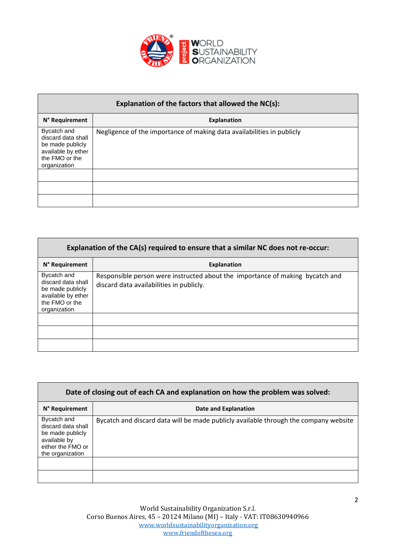

| Explanation of the factors that allowed the NC(s):                                                            |                                                                        |  |  |
|---------------------------------------------------------------------------------------------------------------|------------------------------------------------------------------------|--|--|
| N° Requirement                                                                                                | <b>Explanation</b>                                                     |  |  |
| Bycatch and<br>discard data shall<br>be made publicly<br>available by ether<br>the FMO or the<br>organization | Negligence of the importance of making data availabilities in publicly |  |  |
|                                                                                                               |                                                                        |  |  |
|                                                                                                               |                                                                        |  |  |
|                                                                                                               |                                                                        |  |  |

| Explanation of the CA(s) required to ensure that a similar NC does not re-occur:                              |                                                                                                                           |  |  |
|---------------------------------------------------------------------------------------------------------------|---------------------------------------------------------------------------------------------------------------------------|--|--|
| N° Requirement                                                                                                | <b>Explanation</b>                                                                                                        |  |  |
| Bycatch and<br>discard data shall<br>be made publicly<br>available by ether<br>the FMO or the<br>organization | Responsible person were instructed about the importance of making bycatch and<br>discard data availabilities in publicly. |  |  |
|                                                                                                               |                                                                                                                           |  |  |
|                                                                                                               |                                                                                                                           |  |  |
|                                                                                                               |                                                                                                                           |  |  |

| Date of closing out of each CA and explanation on how the problem was solved:                                  |                                                                                      |  |  |
|----------------------------------------------------------------------------------------------------------------|--------------------------------------------------------------------------------------|--|--|
| N° Requirement                                                                                                 | Date and Explanation                                                                 |  |  |
| Bycatch and<br>discard data shall<br>be made publicly<br>available by<br>either the FMO or<br>the organization | Bycatch and discard data will be made publicly available through the company website |  |  |
|                                                                                                                |                                                                                      |  |  |
|                                                                                                                |                                                                                      |  |  |